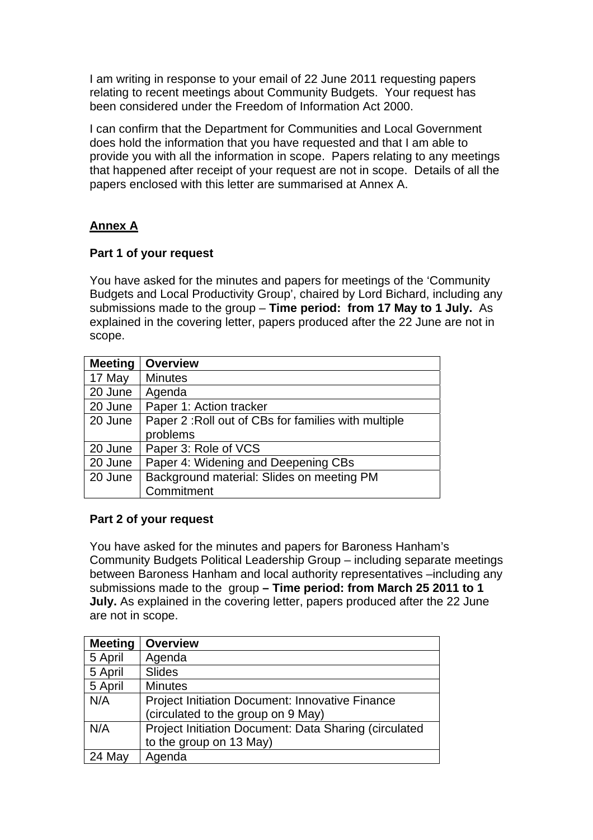I am writing in response to your email of 22 June 2011 requesting papers relating to recent meetings about Community Budgets. Your request has been considered under the Freedom of Information Act 2000.

I can confirm that the Department for Communities and Local Government does hold the information that you have requested and that I am able to provide you with all the information in scope. Papers relating to any meetings that happened after receipt of your request are not in scope. Details of all the papers enclosed with this letter are summarised at Annex A.

## **Annex A**

## **Part 1 of your request**

You have asked for the minutes and papers for meetings of the 'Community Budgets and Local Productivity Group', chaired by Lord Bichard, including any submissions made to the group – **Time period: from 17 May to 1 July.** As explained in the covering letter, papers produced after the 22 June are not in scope.

| <b>Meeting</b> | <b>Overview</b>                                     |
|----------------|-----------------------------------------------------|
| 17 May         | <b>Minutes</b>                                      |
| 20 June        | Agenda                                              |
| 20 June        | Paper 1: Action tracker                             |
| 20 June        | Paper 2: Roll out of CBs for families with multiple |
|                | problems                                            |
| 20 June        | Paper 3: Role of VCS                                |
| 20 June        | Paper 4: Widening and Deepening CBs                 |
| 20 June        | Background material: Slides on meeting PM           |
|                | Commitment                                          |

## **Part 2 of your request**

You have asked for the minutes and papers for Baroness Hanham's Community Budgets Political Leadership Group – including separate meetings between Baroness Hanham and local authority representatives –including any submissions made to the group **– Time period: from March 25 2011 to 1 July.** As explained in the covering letter, papers produced after the 22 June are not in scope.

| <b>Meeting</b> | <b>Overview</b>                                        |
|----------------|--------------------------------------------------------|
| 5 April        | Agenda                                                 |
| 5 April        | <b>Slides</b>                                          |
| 5 April        | <b>Minutes</b>                                         |
| N/A            | <b>Project Initiation Document: Innovative Finance</b> |
|                | (circulated to the group on 9 May)                     |
| N/A            | Project Initiation Document: Data Sharing (circulated  |
|                | to the group on 13 May)                                |
| 24 May         | Agenda                                                 |